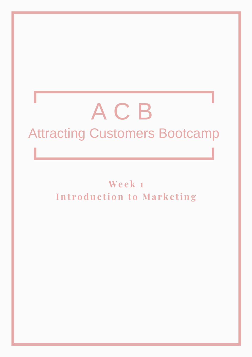# A C B Attracting Customers Bootcamp

**We e k 1 Int r o duc ti on t o Ma r k e ting**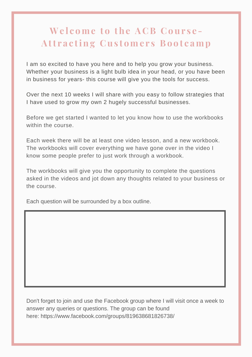## **We l c ome t o the A C B C our s e - Att r a c ting C us t ome r s Bo o t c amp**

I am so excited to have you here and to help you grow your business. Whether your business is a light bulb idea in your head, or you have been in business for years- this course will give you the tools for success.

Over the next 10 weeks I will share with you easy to follow strategies that I have used to grow my own 2 hugely successful businesses.

Before we get started I wanted to let you know how to use the workbooks within the course.

Each week there will be at least one video lesson, and a new workbook. The workbooks will cover everything we have gone over in the video I know some people prefer to just work through a workbook.

The workbooks will give you the opportunity to complete the questions asked in the videos and jot down any thoughts related to your business or the course.

Each question will be surrounded by a box outline.

Don't forget to join and use the Facebook group where I will visit once a week to answer any queries or questions. The group can be found here: https://www.facebook.com/groups/819638681826738/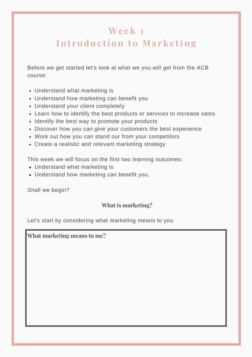## **We e k 1**

## **Int r o duc ti on t o Ma r k e ting**

Before we get started let's look at what we you will get from the ACB course:

- Understand what marketing is
- Understand how marketing can benefit you
- Understand your client completely
- Learn how to identify the best products or services to increase sales
- Identify the best way to promote your products
- Discover how you can give your customers the best experience
- Work out how you can stand our from your competitors
- Create a realistic and relevant marketing strategy

This week we will focus on the first two learning outcomes:

- Understand what marketing is
- Understand how marketing can benefit you.

Shall we begin?

### **What is marketing?**

Let's start by considering what marketing means to you

**What marketing means to me?**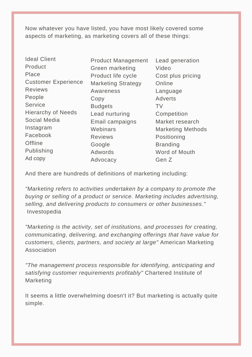Now whatever you have listed, you have most likely covered some aspects of marketing, as marketing covers all of these things:

Ideal Client Product Place Customer Experience Reviews People **Service** Hierarchy of Needs Social Media Instagram Facebook **Offline** Publishing Ad copy

Product Management Green marketing Product life cycle Marketing Strategy Awareness Copy Budgets Lead nurturing Email campaigns **Webinars** Reviews Google Adwords Advocacy

Lead generation Video Cost plus pricing Online Language Adverts TV Competition Market research Marketing Methods Positioning Branding Word of Mouth Gen Z

And there are hundreds of definitions of marketing including:

*"Marketing refers to activities undertaken by a company to promote the buying or selling of a product or service. Marketing includes advertising, selling, and delivering products to consumers or other businesses."* Investopedia

*"Marketing is the activity, set of institutions, and processes for creating, communicating, delivering, and exchanging offerings that have value for customers, clients, partners, and society at large"* American Marketing Association

*"The management process responsible for identifying, anticipating and satisfying customer requirements profitably"* Chartered Institute of Marketing

It seems a little overwhelming doesn't it? But marketing is actually quite simple.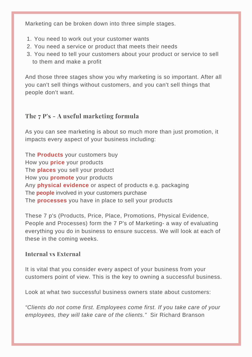Marketing can be broken down into three simple stages.

- 1. You need to work out your customer wants
- 2. You need a service or product that meets their needs
- You need to tell your customers about your product or service to sell 3. to them and make a profit

And those three stages show you why marketing is so important. After all you can't sell things without customers, and you can't sell things that people don't want.

### **The 7 P's - A useful marketing formula**

As you can see marketing is about so much more than just promotion, it impacts every aspect of your business including:

The **Products** your customers buy How you **price** your products The **places** you sell your product How you **promote** your products Any **physical evidence** or aspect of products e.g. packaging The **people** involved in your customers purchase The **processes** you have in place to sell your products

These 7 p's (Products, Price, Place, Promotions, Physical Evidence, People and Processes) form the 7 P's of Marketing- a way of evaluating everything you do in business to ensure success. We will look at each of these in the coming weeks.

#### **Internal vs External**

It is vital that you consider every aspect of your business from your customers point of view. This is the key to owning a successful business.

Look at what two successful business owners state about customers:

*"Clients do not come first. Employees come first. If you take care of your employees, they will take care of the clients."* Sir Richard Branson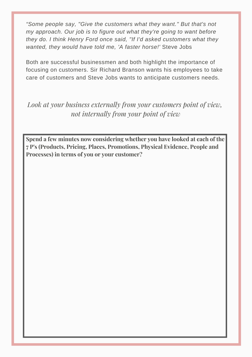*"Some people say, "Give the customers what they want." But that's not my approach. Our job is to figure out what they're going to want before they do. I think Henry Ford once said, "If I'd asked customers what they wanted, they would have told me, 'A faster horse!'* Steve Jobs

Both are successful businessmen and both highlight the importance of focusing on customers. Sir Richard Branson wants his employees to take care of customers and Steve Jobs wants to anticipate customers needs.

*Look at your business externally from your customers point of view, not internally from your point of view*

**Spend a few minutes now considering whether you have looked at each of the 7 P's (Products, Pricing, Places, Promotions, Physical Evidence, People and Processes) in terms of you or your customer?**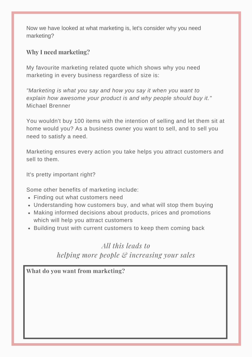Now we have looked at what marketing is, let's consider why you need marketing?

#### **Why I need marketing?**

My favourite marketing related quote which shows why you need marketing in every business regardless of size is:

*"Marketing is what you say and how you say it when you want to explain how awesome your product is and why people should buy it."* Michael Brenner

You wouldn't buy 100 items with the intention of selling and let them sit at home would you? As a business owner you want to sell, and to sell you need to satisfy a need.

Marketing ensures every action you take helps you attract customers and sell to them.

It's pretty important right?

Some other benefits of marketing include:

- Finding out what customers need
- Understanding how customers buy, and what will stop them buying
- Making informed decisions about products, prices and promotions which will help you attract customers
- Building trust with current customers to keep them coming back

*All this leads to helping more people & increasing your sales*

**What do you want from marketing?**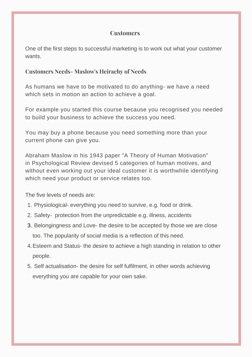#### **Customers**

One of the first steps to successful marketing is to work out what your customer wants.

#### **Customers Needs- Maslow's Heirachy of Needs**

As humans we have to be motivated to do anything- we have a need which sets in motion an action to achieve a goal.

For example you started this course because you recognised you needed to build your business to achieve the success you need.

You may buy a phone because you need something more than your current phone can give you.

Abraham Maslow in his 1943 paper "A Theory of Human Motivation" in Psychological Review devised 5 categories of human motives, and without even working out your ideal customer it is worthwhile identifying which need your product or service relates too.

The five levels of needs are:

- Physiological- everything you need to survive, e.g. food or drink. 1.
- 2. Safety- protection from the unpredictable e.g. illness, accidents
- 3. Belongingness and Love- the desire to be accepted by those we are close too. The popularity of social media is a reflection of this need.
- Esteem and Status- the desire to achieve a high standing in relation to other 4. people.
- 5. Self actualisation- the desire for self fulfilment, in other words achieving everything you are capable for your own sake.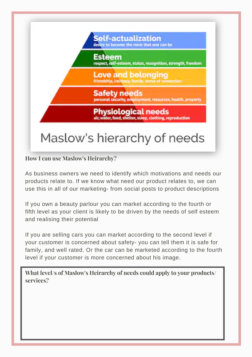

**How I can use Maslow's Heirarchy?**

As business owners we need to identify which motivations and needs our products relate to. If we know what need our product relates to, we can use this in all of our marketing- from social posts to product descriptions

If you own a beauty parlour you can market according to the fourth or fifth level as your client is likely to be driven by the needs of self esteem and realising their potential

If you are selling cars you can market according to the second level if your customer is concerned about safety- you can tell them it is safe for family, and well rated. Or the car can be marketed according to the fourth level if your customer is more concerned about his image.

**What level/s of Maslow's Heirarchy of needs could apply to your products/ services?**